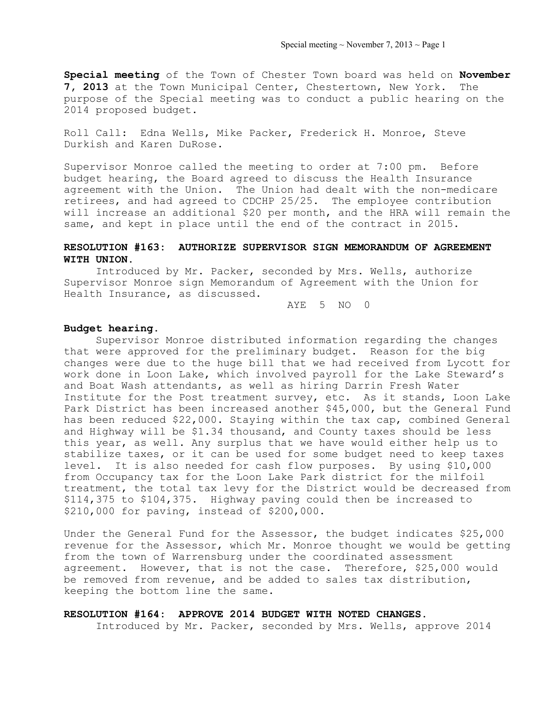**Special meeting** of the Town of Chester Town board was held on **November 7, 2013** at the Town Municipal Center, Chestertown, New York. The purpose of the Special meeting was to conduct a public hearing on the 2014 proposed budget.

Roll Call: Edna Wells, Mike Packer, Frederick H. Monroe, Steve Durkish and Karen DuRose.

Supervisor Monroe called the meeting to order at 7:00 pm. Before budget hearing, the Board agreed to discuss the Health Insurance agreement with the Union. The Union had dealt with the non-medicare retirees, and had agreed to CDCHP 25/25. The employee contribution will increase an additional \$20 per month, and the HRA will remain the same, and kept in place until the end of the contract in 2015.

# **RESOLUTION #163: AUTHORIZE SUPERVISOR SIGN MEMORANDUM OF AGREEMENT WITH UNION.**

Introduced by Mr. Packer, seconded by Mrs. Wells, authorize Supervisor Monroe sign Memorandum of Agreement with the Union for Health Insurance, as discussed.

AYE 5 NO 0

### **Budget hearing.**

 Supervisor Monroe distributed information regarding the changes that were approved for the preliminary budget. Reason for the big changes were due to the huge bill that we had received from Lycott for work done in Loon Lake, which involved payroll for the Lake Steward's and Boat Wash attendants, as well as hiring Darrin Fresh Water Institute for the Post treatment survey, etc. As it stands, Loon Lake Park District has been increased another \$45,000, but the General Fund has been reduced \$22,000. Staying within the tax cap, combined General and Highway will be \$1.34 thousand, and County taxes should be less this year, as well. Any surplus that we have would either help us to stabilize taxes, or it can be used for some budget need to keep taxes level. It is also needed for cash flow purposes. By using \$10,000 from Occupancy tax for the Loon Lake Park district for the milfoil treatment, the total tax levy for the District would be decreased from \$114,375 to \$104,375. Highway paving could then be increased to \$210,000 for paving, instead of \$200,000.

Under the General Fund for the Assessor, the budget indicates \$25,000 revenue for the Assessor, which Mr. Monroe thought we would be getting from the town of Warrensburg under the coordinated assessment agreement. However, that is not the case. Therefore, \$25,000 would be removed from revenue, and be added to sales tax distribution, keeping the bottom line the same.

#### **RESOLUTION #164: APPROVE 2014 BUDGET WITH NOTED CHANGES.**

Introduced by Mr. Packer, seconded by Mrs. Wells, approve 2014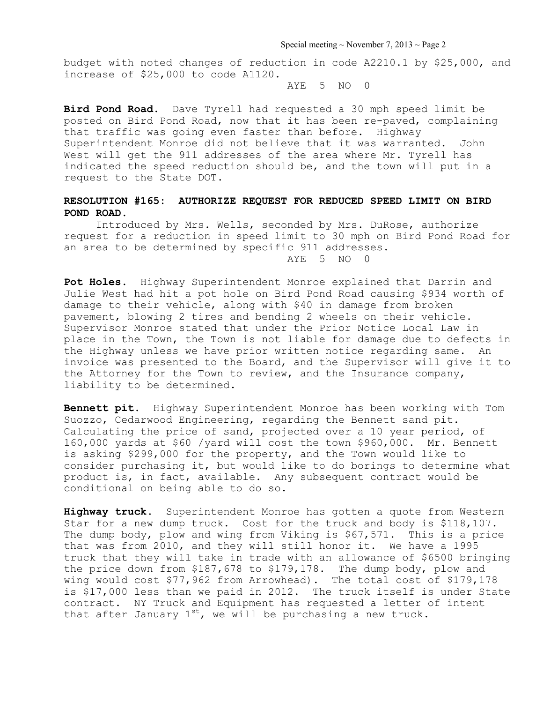Special meeting  $\sim$  November 7, 2013  $\sim$  Page 2

budget with noted changes of reduction in code A2210.1 by \$25,000, and increase of \$25,000 to code A1120.

 $AYF$  5 NO 0

**Bird Pond Road.** Dave Tyrell had requested a 30 mph speed limit be posted on Bird Pond Road, now that it has been re-paved, complaining that traffic was going even faster than before. Highway Superintendent Monroe did not believe that it was warranted. John West will get the 911 addresses of the area where Mr. Tyrell has indicated the speed reduction should be, and the town will put in a request to the State DOT.

# **RESOLUTION #165: AUTHORIZE REQUEST FOR REDUCED SPEED LIMIT ON BIRD POND ROAD.**

Introduced by Mrs. Wells, seconded by Mrs. DuRose, authorize request for a reduction in speed limit to 30 mph on Bird Pond Road for an area to be determined by specific 911 addresses. AYE 5 NO 0

**Pot Holes.** Highway Superintendent Monroe explained that Darrin and Julie West had hit a pot hole on Bird Pond Road causing \$934 worth of damage to their vehicle, along with \$40 in damage from broken pavement, blowing 2 tires and bending 2 wheels on their vehicle. Supervisor Monroe stated that under the Prior Notice Local Law in place in the Town, the Town is not liable for damage due to defects in the Highway unless we have prior written notice regarding same. An invoice was presented to the Board, and the Supervisor will give it to the Attorney for the Town to review, and the Insurance company, liability to be determined.

**Bennett pit.** Highway Superintendent Monroe has been working with Tom Suozzo, Cedarwood Engineering, regarding the Bennett sand pit. Calculating the price of sand, projected over a 10 year period, of 160,000 yards at \$60 /yard will cost the town \$960,000. Mr. Bennett is asking \$299,000 for the property, and the Town would like to consider purchasing it, but would like to do borings to determine what product is, in fact, available. Any subsequent contract would be conditional on being able to do so.

**Highway truck.** Superintendent Monroe has gotten a quote from Western Star for a new dump truck. Cost for the truck and body is \$118,107. The dump body, plow and wing from Viking is \$67,571. This is a price that was from 2010, and they will still honor it. We have a 1995 truck that they will take in trade with an allowance of \$6500 bringing the price down from \$187,678 to \$179,178. The dump body, plow and wing would cost \$77,962 from Arrowhead). The total cost of \$179,178 is \$17,000 less than we paid in 2012. The truck itself is under State contract. NY Truck and Equipment has requested a letter of intent that after January  $1^{st}$ , we will be purchasing a new truck.